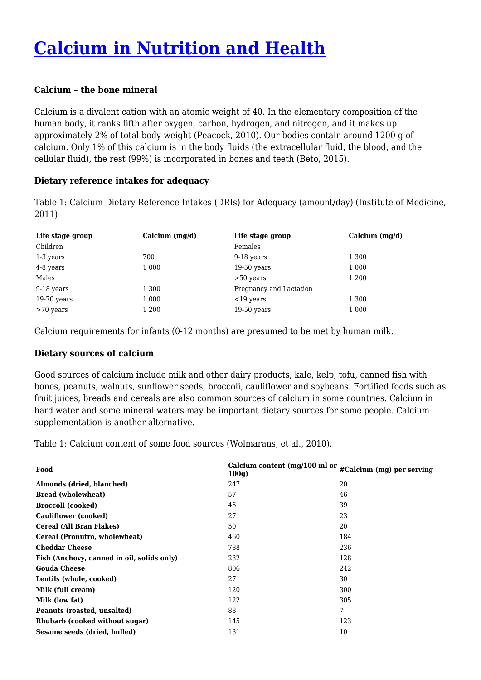# **[Calcium in Nutrition and Health](https://foodfacts.org.za/calcium-in-nutrition-and-health/)**

#### **Calcium – the bone mineral**

Calcium is a divalent cation with an atomic weight of 40. In the elementary composition of the human body, it ranks fifth after oxygen, carbon, hydrogen, and nitrogen, and it makes up approximately 2% of total body weight (Peacock, 2010). Our bodies contain around 1200 g of calcium. Only 1% of this calcium is in the body fluids (the extracellular fluid, the blood, and the cellular fluid), the rest (99%) is incorporated in bones and teeth (Beto, 2015).

#### **Dietary reference intakes for adequacy**

Table 1: Calcium Dietary Reference Intakes (DRIs) for Adequacy (amount/day) (Institute of Medicine, 2011)

| Life stage group | Calcium $(mg/d)$ | Life stage group        | Calcium $(mq/d)$ |
|------------------|------------------|-------------------------|------------------|
| Children         |                  | Females                 |                  |
| 1-3 years        | 700              | 9-18 years              | 1 300            |
| 4-8 years        | 1 0 0 0          | $19-50$ years           | 1 0 0 0          |
| Males            |                  | $>50$ years             | 1 200            |
| 9-18 years       | 1 300            | Pregnancy and Lactation |                  |
| $19-70$ years    | 1 0 0 0          | $<$ 19 years            | 1 300            |
| $>70$ years      | 1 200            | $19-50$ years           | 1 000            |

Calcium requirements for infants (0-12 months) are presumed to be met by human milk.

### **Dietary sources of calcium**

Good sources of calcium include milk and other dairy products, kale, kelp, tofu, canned fish with bones, peanuts, walnuts, sunflower seeds, broccoli, cauliflower and soybeans. Fortified foods such as fruit juices, breads and cereals are also common sources of calcium in some countries. Calcium in hard water and some mineral waters may be important dietary sources for some people. Calcium supplementation is another alternative.

Table 1: Calcium content of some food sources (Wolmarans, et al., 2010).

| Food                                       | Calcium content (mg/100 ml or<br>100q | #Calcium (mg) per serving |
|--------------------------------------------|---------------------------------------|---------------------------|
| Almonds (dried, blanched)                  | 247                                   | 20                        |
| <b>Bread (wholewheat)</b>                  | 57                                    | 46                        |
| <b>Broccoli</b> (cooked)                   | 46                                    | 39                        |
| <b>Cauliflower</b> (cooked)                | 27                                    | 23                        |
| Cereal (All Bran Flakes)                   | 50                                    | 20                        |
| Cereal (Pronutro, wholewheat)              | 460                                   | 184                       |
| <b>Cheddar Cheese</b>                      | 788                                   | 236                       |
| Fish (Anchovy, canned in oil, solids only) | 232                                   | 128                       |
| <b>Gouda Cheese</b>                        | 806                                   | 242                       |
| Lentils (whole, cooked)                    | 27                                    | 30                        |
| Milk (full cream)                          | 120                                   | 300                       |
| Milk (low fat)                             | 122                                   | 305                       |
| Peanuts (roasted, unsalted)                | 88                                    | 7                         |
| Rhubarb (cooked without sugar)             | 145                                   | 123                       |
| Sesame seeds (dried, hulled)               | 131                                   | 10                        |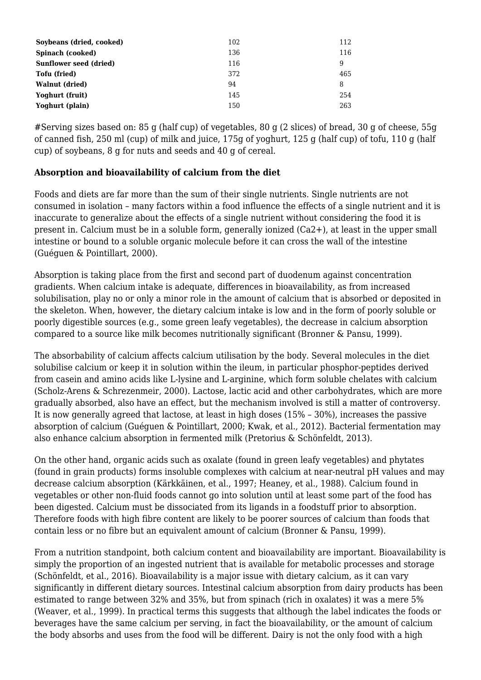| Soybeans (dried, cooked)      | 102 | 112 |
|-------------------------------|-----|-----|
| Spinach (cooked)              | 136 | 116 |
| <b>Sunflower seed (dried)</b> | 116 | 9   |
| Tofu (fried)                  | 372 | 465 |
| <b>Walnut (dried)</b>         | 94  | 8   |
| Yoghurt (fruit)               | 145 | 254 |
| Yoghurt (plain)               | 150 | 263 |

#Serving sizes based on: 85 g (half cup) of vegetables, 80 g (2 slices) of bread, 30 g of cheese, 55g of canned fish, 250 ml (cup) of milk and juice, 175g of yoghurt, 125 g (half cup) of tofu, 110 g (half cup) of soybeans, 8 g for nuts and seeds and 40 g of cereal.

## **Absorption and bioavailability of calcium from the diet**

Foods and diets are far more than the sum of their single nutrients. Single nutrients are not consumed in isolation – many factors within a food influence the effects of a single nutrient and it is inaccurate to generalize about the effects of a single nutrient without considering the food it is present in. Calcium must be in a soluble form, generally ionized (Ca2+), at least in the upper small intestine or bound to a soluble organic molecule before it can cross the wall of the intestine (Guéguen & Pointillart, 2000).

Absorption is taking place from the first and second part of duodenum against concentration gradients. When calcium intake is adequate, differences in bioavailability, as from increased solubilisation, play no or only a minor role in the amount of calcium that is absorbed or deposited in the skeleton. When, however, the dietary calcium intake is low and in the form of poorly soluble or poorly digestible sources (e.g., some green leafy vegetables), the decrease in calcium absorption compared to a source like milk becomes nutritionally significant (Bronner & Pansu, 1999).

The absorbability of calcium affects calcium utilisation by the body. Several molecules in the diet solubilise calcium or keep it in solution within the ileum, in particular phosphor-peptides derived from casein and amino acids like L-lysine and L-arginine, which form soluble chelates with calcium (Scholz-Arens & Schrezenmeir, 2000). Lactose, lactic acid and other carbohydrates, which are more gradually absorbed, also have an effect, but the mechanism involved is still a matter of controversy. It is now generally agreed that lactose, at least in high doses (15% – 30%), increases the passive absorption of calcium (Guéguen & Pointillart, 2000; Kwak, et al., 2012). Bacterial fermentation may also enhance calcium absorption in fermented milk (Pretorius & Schönfeldt, 2013).

On the other hand, organic acids such as oxalate (found in green leafy vegetables) and phytates (found in grain products) forms insoluble complexes with calcium at near-neutral pH values and may decrease calcium absorption (Kärkkäinen, et al., 1997; Heaney, et al., 1988). Calcium found in vegetables or other non-fluid foods cannot go into solution until at least some part of the food has been digested. Calcium must be dissociated from its ligands in a foodstuff prior to absorption. Therefore foods with high fibre content are likely to be poorer sources of calcium than foods that contain less or no fibre but an equivalent amount of calcium (Bronner & Pansu, 1999).

From a nutrition standpoint, both calcium content and bioavailability are important. Bioavailability is simply the proportion of an ingested nutrient that is available for metabolic processes and storage (Schönfeldt, et al., 2016). Bioavailability is a major issue with dietary calcium, as it can vary significantly in different dietary sources. Intestinal calcium absorption from dairy products has been estimated to range between 32% and 35%, but from spinach (rich in oxalates) it was a mere 5% (Weaver, et al., 1999). In practical terms this suggests that although the label indicates the foods or beverages have the same calcium per serving, in fact the bioavailability, or the amount of calcium the body absorbs and uses from the food will be different. Dairy is not the only food with a high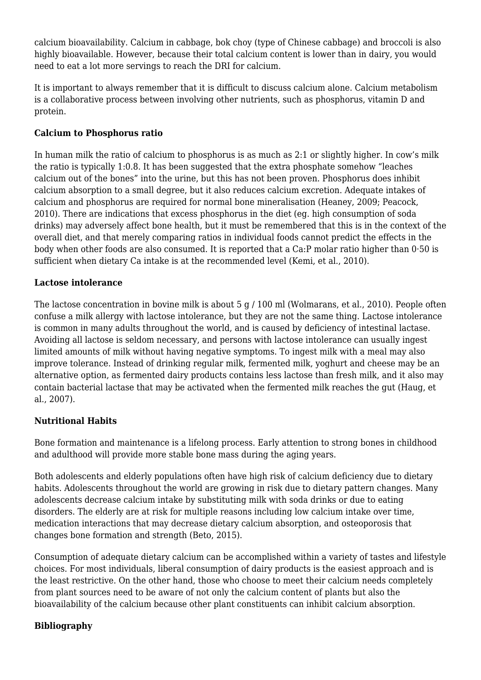calcium bioavailability. Calcium in cabbage, bok choy (type of Chinese cabbage) and broccoli is also highly bioavailable. However, because their total calcium content is lower than in dairy, you would need to eat a lot more servings to reach the DRI for calcium.

It is important to always remember that it is difficult to discuss calcium alone. Calcium metabolism is a collaborative process between involving other nutrients, such as phosphorus, vitamin D and protein.

## **Calcium to Phosphorus ratio**

In human milk the ratio of calcium to phosphorus is as much as 2:1 or slightly higher. In cow's milk the ratio is typically 1:0.8. It has been suggested that the extra phosphate somehow "leaches calcium out of the bones" into the urine, but this has not been proven. Phosphorus does inhibit calcium absorption to a small degree, but it also reduces calcium excretion. Adequate intakes of calcium and phosphorus are required for normal bone mineralisation (Heaney, 2009; Peacock, 2010). There are indications that excess phosphorus in the diet (eg. high consumption of soda drinks) may adversely affect bone health, but it must be remembered that this is in the context of the overall diet, and that merely comparing ratios in individual foods cannot predict the effects in the body when other foods are also consumed. It is reported that a Ca:P molar ratio higher than 0·50 is sufficient when dietary Ca intake is at the recommended level (Kemi, et al., 2010).

# **Lactose intolerance**

The lactose concentration in bovine milk is about 5 g / 100 ml (Wolmarans, et al., 2010). People often confuse a milk allergy with lactose intolerance, but they are not the same thing. Lactose intolerance is common in many adults throughout the world, and is caused by deficiency of intestinal lactase. Avoiding all lactose is seldom necessary, and persons with lactose intolerance can usually ingest limited amounts of milk without having negative symptoms. To ingest milk with a meal may also improve tolerance. Instead of drinking regular milk, fermented milk, yoghurt and cheese may be an alternative option, as fermented dairy products contains less lactose than fresh milk, and it also may contain bacterial lactase that may be activated when the fermented milk reaches the gut (Haug, et al., 2007).

# **Nutritional Habits**

Bone formation and maintenance is a lifelong process. Early attention to strong bones in childhood and adulthood will provide more stable bone mass during the aging years.

Both adolescents and elderly populations often have high risk of calcium deficiency due to dietary habits. Adolescents throughout the world are growing in risk due to dietary pattern changes. Many adolescents decrease calcium intake by substituting milk with soda drinks or due to eating disorders. The elderly are at risk for multiple reasons including low calcium intake over time, medication interactions that may decrease dietary calcium absorption, and osteoporosis that changes bone formation and strength (Beto, 2015).

Consumption of adequate dietary calcium can be accomplished within a variety of tastes and lifestyle choices. For most individuals, liberal consumption of dairy products is the easiest approach and is the least restrictive. On the other hand, those who choose to meet their calcium needs completely from plant sources need to be aware of not only the calcium content of plants but also the bioavailability of the calcium because other plant constituents can inhibit calcium absorption.

## **Bibliography**